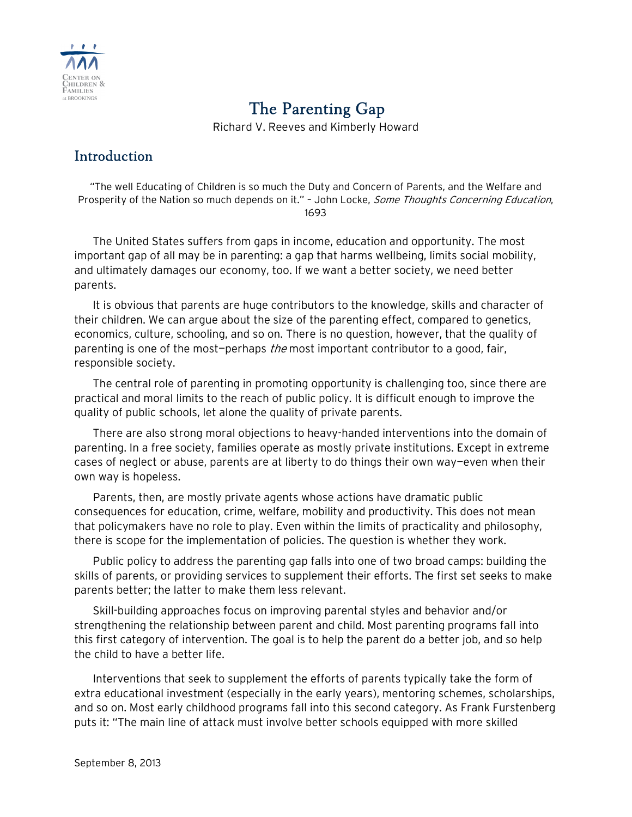

# The Parenting Gap

Richard V. Reeves and Kimberly Howard

### Introduction

"The well Educating of Children is so much the Duty and Concern of Parents, and the Welfare and Prosperity of the Nation so much depends on it." - John Locke, Some Thoughts Concerning Education, 1693

The United States suffers from gaps in income, education and opportunity. The most important gap of all may be in parenting: a gap that harms wellbeing, limits social mobility, and ultimately damages our economy, too. If we want a better society, we need better parents.

It is obvious that parents are huge contributors to the knowledge, skills and character of their children. We can argue about the size of the parenting effect, compared to genetics, economics, culture, schooling, and so on. There is no question, however, that the quality of parenting is one of the most-perhaps *the* most important contributor to a good, fair, responsible society.

The central role of parenting in promoting opportunity is challenging too, since there are practical and moral limits to the reach of public policy. It is difficult enough to improve the quality of public schools, let alone the quality of private parents.

There are also strong moral objections to heavy-handed interventions into the domain of parenting. In a free society, families operate as mostly private institutions. Except in extreme cases of neglect or abuse, parents are at liberty to do things their own way—even when their own way is hopeless.

Parents, then, are mostly private agents whose actions have dramatic public consequences for education, crime, welfare, mobility and productivity. This does not mean that policymakers have no role to play. Even within the limits of practicality and philosophy, there is scope for the implementation of policies. The question is whether they work.

Public policy to address the parenting gap falls into one of two broad camps: building the skills of parents, or providing services to supplement their efforts. The first set seeks to make parents better; the latter to make them less relevant.

Skill-building approaches focus on improving parental styles and behavior and/or strengthening the relationship between parent and child. Most parenting programs fall into this first category of intervention. The goal is to help the parent do a better job, and so help the child to have a better life.

Interventions that seek to supplement the efforts of parents typically take the form of extra educational investment (especially in the early years), mentoring schemes, scholarships, and so on. Most early childhood programs fall into this second category. As Frank Furstenberg puts it: "The main line of attack must involve better schools equipped with more skilled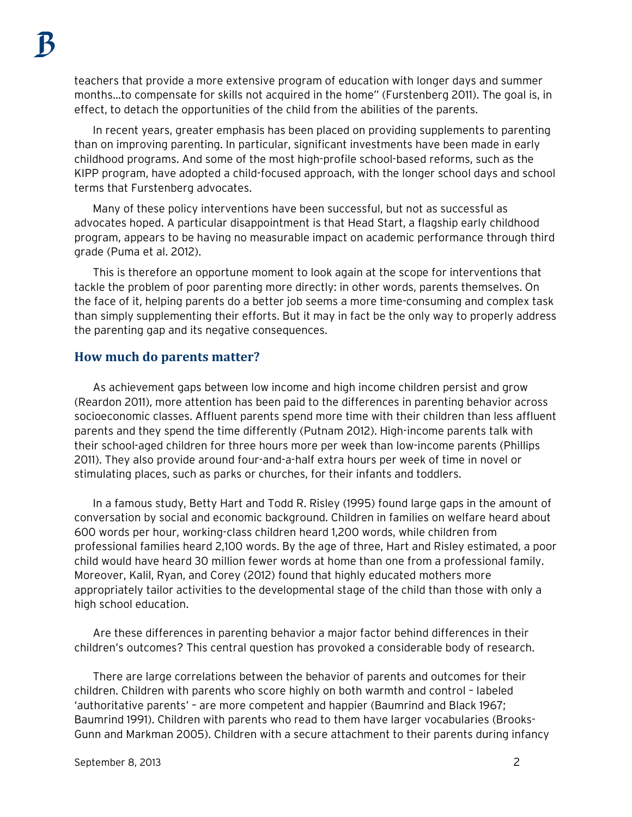teachers that provide a more extensive program of education with longer days and summer months…to compensate for skills not acquired in the home" (Furstenberg 2011). The goal is, in effect, to detach the opportunities of the child from the abilities of the parents.

In recent years, greater emphasis has been placed on providing supplements to parenting than on improving parenting. In particular, significant investments have been made in early childhood programs. And some of the most high-profile school-based reforms, such as the KIPP program, have adopted a child-focused approach, with the longer school days and school terms that Furstenberg advocates.

Many of these policy interventions have been successful, but not as successful as advocates hoped. A particular disappointment is that Head Start, a flagship early childhood program, appears to be having no measurable impact on academic performance through third grade (Puma et al. 2012).

This is therefore an opportune moment to look again at the scope for interventions that tackle the problem of poor parenting more directly: in other words, parents themselves. On the face of it, helping parents do a better job seems a more time-consuming and complex task than simply supplementing their efforts. But it may in fact be the only way to properly address the parenting gap and its negative consequences.

#### **How much do parents matter?**

As achievement gaps between low income and high income children persist and grow (Reardon 2011), more attention has been paid to the differences in parenting behavior across socioeconomic classes. Affluent parents spend more time with their children than less affluent parents and they spend the time differently (Putnam 2012). High-income parents talk with their school-aged children for three hours more per week than low-income parents (Phillips 2011). They also provide around four-and-a-half extra hours per week of time in novel or stimulating places, such as parks or churches, for their infants and toddlers.

In a famous study, Betty Hart and Todd R. Risley (1995) found large gaps in the amount of conversation by social and economic background. Children in families on welfare heard about 600 words per hour, working-class children heard 1,200 words, while children from professional families heard 2,100 words. By the age of three, Hart and Risley estimated, a poor child would have heard 30 million fewer words at home than one from a professional family. Moreover, Kalil, Ryan, and Corey (2012) found that highly educated mothers more appropriately tailor activities to the developmental stage of the child than those with only a high school education.

Are these differences in parenting behavior a major factor behind differences in their children's outcomes? This central question has provoked a considerable body of research.

There are large correlations between the behavior of parents and outcomes for their children. Children with parents who score highly on both warmth and control – labeled 'authoritative parents' – are more competent and happier (Baumrind and Black 1967; Baumrind 1991). Children with parents who read to them have larger vocabularies (Brooks-Gunn and Markman 2005). Children with a secure attachment to their parents during infancy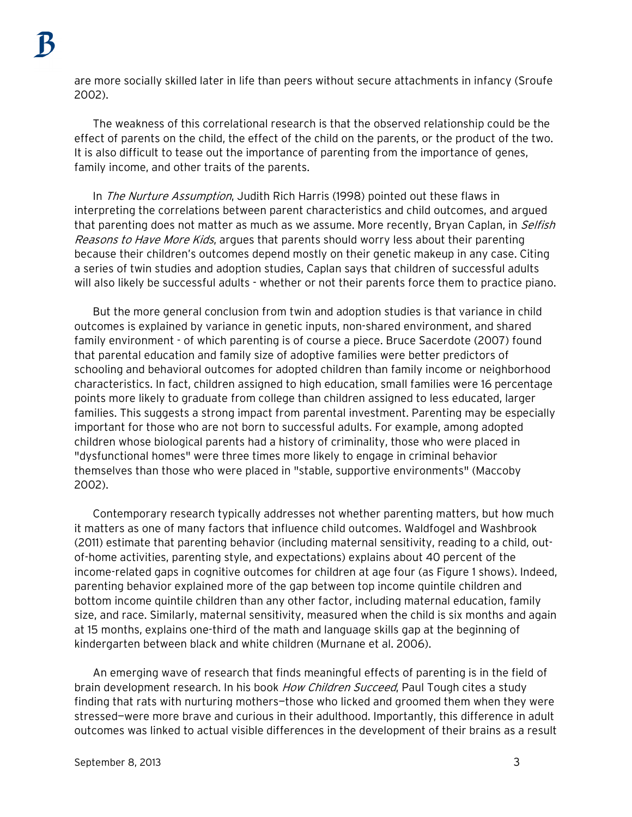are more socially skilled later in life than peers without secure attachments in infancy (Sroufe 2002).

The weakness of this correlational research is that the observed relationship could be the effect of parents on the child, the effect of the child on the parents, or the product of the two. It is also difficult to tease out the importance of parenting from the importance of genes, family income, and other traits of the parents.

In The Nurture Assumption, Judith Rich Harris (1998) pointed out these flaws in interpreting the correlations between parent characteristics and child outcomes, and argued that parenting does not matter as much as we assume. More recently, Bryan Caplan, in Selfish Reasons to Have More Kids, argues that parents should worry less about their parenting because their children's outcomes depend mostly on their genetic makeup in any case. Citing a series of twin studies and adoption studies, Caplan says that children of successful adults will also likely be successful adults - whether or not their parents force them to practice piano.

But the more general conclusion from twin and adoption studies is that variance in child outcomes is explained by variance in genetic inputs, non-shared environment, and shared family environment - of which parenting is of course a piece. Bruce Sacerdote (2007) found that parental education and family size of adoptive families were better predictors of schooling and behavioral outcomes for adopted children than family income or neighborhood characteristics. In fact, children assigned to high education, small families were 16 percentage points more likely to graduate from college than children assigned to less educated, larger families. This suggests a strong impact from parental investment. Parenting may be especially important for those who are not born to successful adults. For example, among adopted children whose biological parents had a history of criminality, those who were placed in "dysfunctional homes" were three times more likely to engage in criminal behavior themselves than those who were placed in "stable, supportive environments" (Maccoby 2002).

Contemporary research typically addresses not whether parenting matters, but how much it matters as one of many factors that influence child outcomes. Waldfogel and Washbrook (2011) estimate that parenting behavior (including maternal sensitivity, reading to a child, outof-home activities, parenting style, and expectations) explains about 40 percent of the income-related gaps in cognitive outcomes for children at age four (as Figure 1 shows). Indeed, parenting behavior explained more of the gap between top income quintile children and bottom income quintile children than any other factor, including maternal education, family size, and race. Similarly, maternal sensitivity, measured when the child is six months and again at 15 months, explains one-third of the math and language skills gap at the beginning of kindergarten between black and white children (Murnane et al. 2006).

An emerging wave of research that finds meaningful effects of parenting is in the field of brain development research. In his book How Children Succeed, Paul Tough cites a study finding that rats with nurturing mothers—those who licked and groomed them when they were stressed—were more brave and curious in their adulthood. Importantly, this difference in adult outcomes was linked to actual visible differences in the development of their brains as a result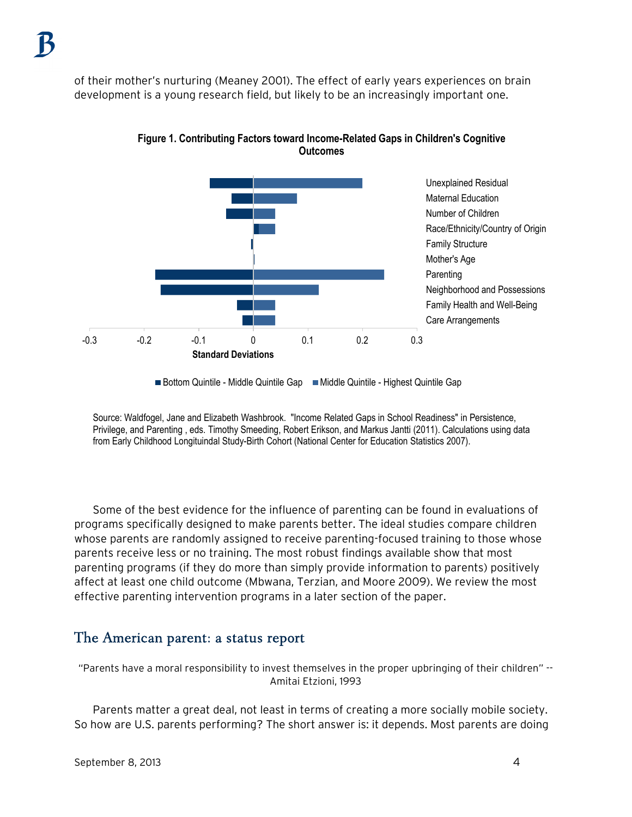of their mother's nurturing (Meaney 2001). The effect of early years experiences on brain development is a young research field, but likely to be an increasingly important one.



**Figure 1. Contributing Factors toward Income-Related Gaps in Children's Cognitive Outcomes**

Source: Waldfogel, Jane and Elizabeth Washbrook. "Income Related Gaps in School Readiness" in Persistence, Privilege, and Parenting , eds. Timothy Smeeding, Robert Erikson, and Markus Jantti (2011). Calculations using data from Early Childhood Longituindal Study-Birth Cohort (National Center for Education Statistics 2007).

Some of the best evidence for the influence of parenting can be found in evaluations of programs specifically designed to make parents better. The ideal studies compare children whose parents are randomly assigned to receive parenting-focused training to those whose parents receive less or no training. The most robust findings available show that most parenting programs (if they do more than simply provide information to parents) positively affect at least one child outcome (Mbwana, Terzian, and Moore 2009). We review the most effective parenting intervention programs in a later section of the paper.

## The American parent: a status report

"Parents have a moral responsibility to invest themselves in the proper upbringing of their children" -- Amitai Etzioni, 1993

Parents matter a great deal, not least in terms of creating a more socially mobile society. So how are U.S. parents performing? The short answer is: it depends. Most parents are doing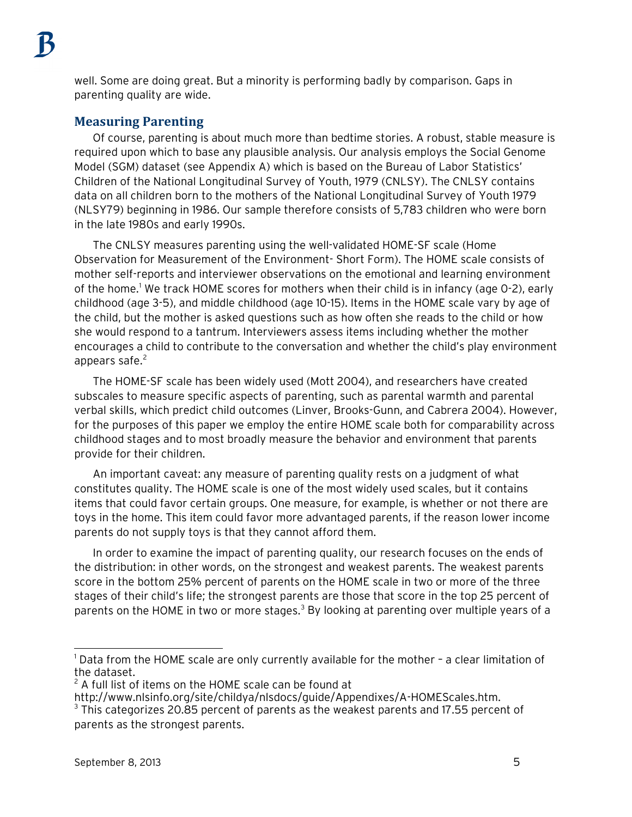well. Some are doing great. But a minority is performing badly by comparison. Gaps in parenting quality are wide.

### **Measuring Parenting**

Of course, parenting is about much more than bedtime stories. A robust, stable measure is required upon which to base any plausible analysis. Our analysis employs the Social Genome Model (SGM) dataset (see Appendix A) which is based on the Bureau of Labor Statistics' Children of the National Longitudinal Survey of Youth, 1979 (CNLSY). The CNLSY contains data on all children born to the mothers of the National Longitudinal Survey of Youth 1979 (NLSY79) beginning in 1986. Our sample therefore consists of 5,783 children who were born in the late 1980s and early 1990s.

The CNLSY measures parenting using the well-validated HOME-SF scale (Home Observation for Measurement of the Environment- Short Form). The HOME scale consists of mother self-reports and interviewer observations on the emotional and learning environment of the home.<sup>[1](#page-4-0)</sup> We track HOME scores for mothers when their child is in infancy (age 0-2), early childhood (age 3-5), and middle childhood (age 10-15). Items in the HOME scale vary by age of the child, but the mother is asked questions such as how often she reads to the child or how she would respond to a tantrum. Interviewers assess items including whether the mother encourages a child to contribute to the conversation and whether the child's play environment appears safe.<sup>[2](#page-4-1)</sup>

The HOME-SF scale has been widely used (Mott 2004), and researchers have created subscales to measure specific aspects of parenting, such as parental warmth and parental verbal skills, which predict child outcomes (Linver, Brooks-Gunn, and Cabrera 2004). However, for the purposes of this paper we employ the entire HOME scale both for comparability across childhood stages and to most broadly measure the behavior and environment that parents provide for their children.

An important caveat: any measure of parenting quality rests on a judgment of what constitutes quality. The HOME scale is one of the most widely used scales, but it contains items that could favor certain groups. One measure, for example, is whether or not there are toys in the home. This item could favor more advantaged parents, if the reason lower income parents do not supply toys is that they cannot afford them.

In order to examine the impact of parenting quality, our research focuses on the ends of the distribution: in other words, on the strongest and weakest parents. The weakest parents score in the bottom 25% percent of parents on the HOME scale in two or more of the three stages of their child's life; the strongest parents are those that score in the top 25 percent of parents on the HOME in two or more stages. $^3$  $^3$  By looking at parenting over multiple years of a

<span id="page-4-2"></span>http://www.nlsinfo.org/site/childya/nlsdocs/guide/Appendixes/A-HOMEScales.htm.

<span id="page-4-1"></span><span id="page-4-0"></span> <sup>1</sup> Data from the HOME scale are only currently available for the mother – a clear limitation of the dataset.

 $2$  A full list of items on the HOME scale can be found at

 $3$  This categorizes 20.85 percent of parents as the weakest parents and 17.55 percent of parents as the strongest parents.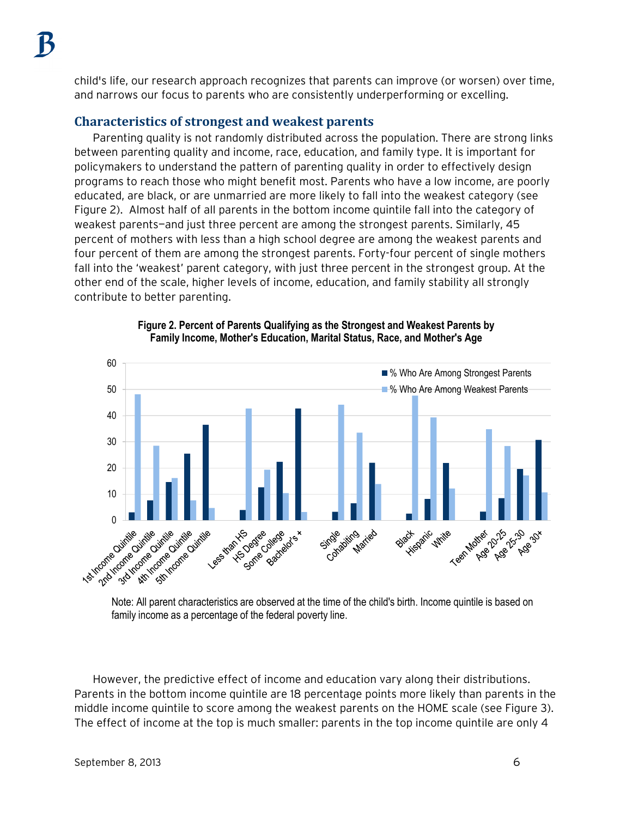child's life, our research approach recognizes that parents can improve (or worsen) over time, and narrows our focus to parents who are consistently underperforming or excelling.

### **Characteristics of strongest and weakest parents**

Parenting quality is not randomly distributed across the population. There are strong links between parenting quality and income, race, education, and family type. It is important for policymakers to understand the pattern of parenting quality in order to effectively design programs to reach those who might benefit most. Parents who have a low income, are poorly educated, are black, or are unmarried are more likely to fall into the weakest category (see Figure 2). Almost half of all parents in the bottom income quintile fall into the category of weakest parents—and just three percent are among the strongest parents. Similarly, 45 percent of mothers with less than a high school degree are among the weakest parents and four percent of them are among the strongest parents. Forty-four percent of single mothers fall into the 'weakest' parent category, with just three percent in the strongest group. At the other end of the scale, higher levels of income, education, and family stability all strongly contribute to better parenting.





Note: All parent characteristics are observed at the time of the child's birth. Income quintile is based on family income as a percentage of the federal poverty line.

However, the predictive effect of income and education vary along their distributions. Parents in the bottom income quintile are 18 percentage points more likely than parents in the middle income quintile to score among the weakest parents on the HOME scale (see Figure 3). The effect of income at the top is much smaller: parents in the top income quintile are only 4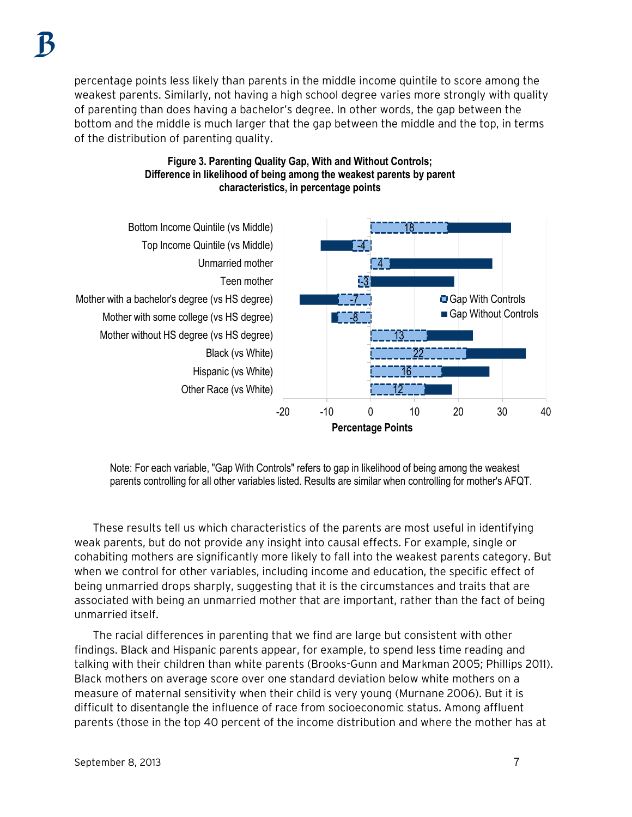percentage points less likely than parents in the middle income quintile to score among the weakest parents. Similarly, not having a high school degree varies more strongly with quality of parenting than does having a bachelor's degree. In other words, the gap between the bottom and the middle is much larger that the gap between the middle and the top, in terms of the distribution of parenting quality.





Note: For each variable, "Gap With Controls" refers to gap in likelihood of being among the weakest parents controlling for all other variables listed. Results are similar when controlling for mother's AFQT.

These results tell us which characteristics of the parents are most useful in identifying weak parents, but do not provide any insight into causal effects. For example, single or cohabiting mothers are significantly more likely to fall into the weakest parents category. But when we control for other variables, including income and education, the specific effect of being unmarried drops sharply, suggesting that it is the circumstances and traits that are associated with being an unmarried mother that are important, rather than the fact of being unmarried itself.

The racial differences in parenting that we find are large but consistent with other findings. Black and Hispanic parents appear, for example, to spend less time reading and talking with their children than white parents (Brooks-Gunn and Markman 2005; Phillips 2011). Black mothers on average score over one standard deviation below white mothers on a measure of maternal sensitivity when their child is very young (Murnane 2006). But it is difficult to disentangle the influence of race from socioeconomic status. Among affluent parents (those in the top 40 percent of the income distribution and where the mother has at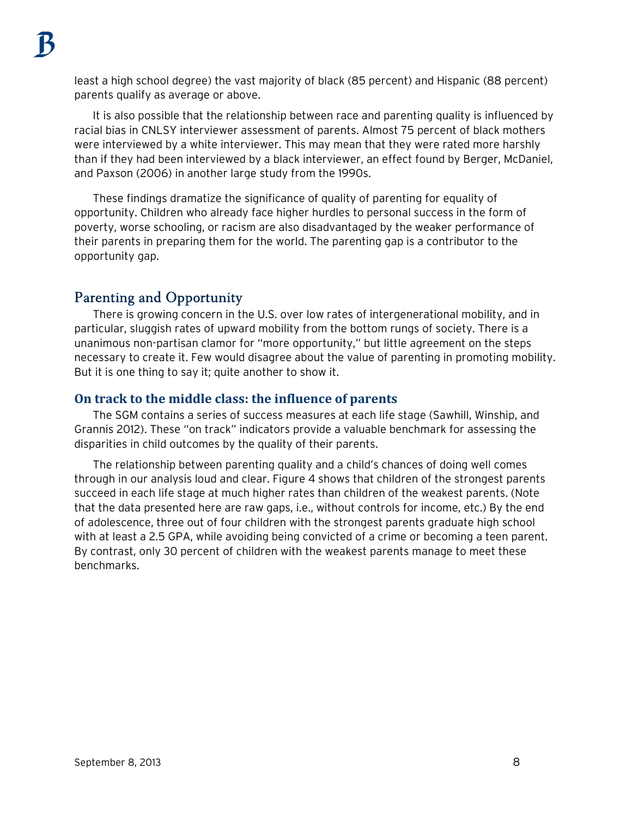least a high school degree) the vast majority of black (85 percent) and Hispanic (88 percent) parents qualify as average or above.

It is also possible that the relationship between race and parenting quality is influenced by racial bias in CNLSY interviewer assessment of parents. Almost 75 percent of black mothers were interviewed by a white interviewer. This may mean that they were rated more harshly than if they had been interviewed by a black interviewer, an effect found by Berger, McDaniel, and Paxson (2006) in another large study from the 1990s.

These findings dramatize the significance of quality of parenting for equality of opportunity. Children who already face higher hurdles to personal success in the form of poverty, worse schooling, or racism are also disadvantaged by the weaker performance of their parents in preparing them for the world. The parenting gap is a contributor to the opportunity gap.

### Parenting and Opportunity

There is growing concern in the U.S. over low rates of intergenerational mobility, and in particular, sluggish rates of upward mobility from the bottom rungs of society. There is a unanimous non-partisan clamor for "more opportunity," but little agreement on the steps necessary to create it. Few would disagree about the value of parenting in promoting mobility. But it is one thing to say it; quite another to show it.

### **On track to the middle class: the influence of parents**

The SGM contains a series of success measures at each life stage (Sawhill, Winship, and Grannis 2012). These "on track" indicators provide a valuable benchmark for assessing the disparities in child outcomes by the quality of their parents.

The relationship between parenting quality and a child's chances of doing well comes through in our analysis loud and clear. Figure 4 shows that children of the strongest parents succeed in each life stage at much higher rates than children of the weakest parents. (Note that the data presented here are raw gaps, i.e., without controls for income, etc.) By the end of adolescence, three out of four children with the strongest parents graduate high school with at least a 2.5 GPA, while avoiding being convicted of a crime or becoming a teen parent. By contrast, only 30 percent of children with the weakest parents manage to meet these benchmarks.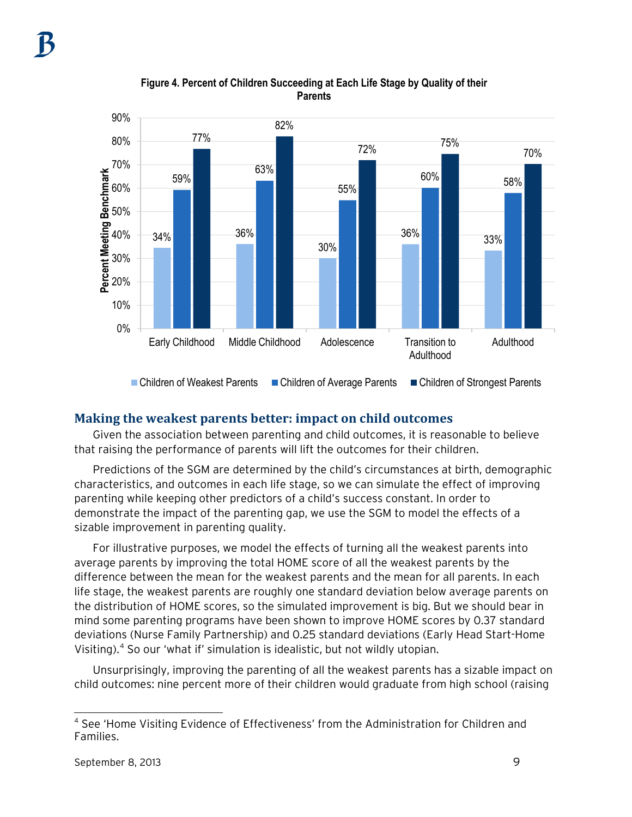

**Figure 4. Percent of Children Succeeding at Each Life Stage by Quality of their Parents**

### **Making the weakest parents better: impact on child outcomes**

Given the association between parenting and child outcomes, it is reasonable to believe that raising the performance of parents will lift the outcomes for their children.

Predictions of the SGM are determined by the child's circumstances at birth, demographic characteristics, and outcomes in each life stage, so we can simulate the effect of improving parenting while keeping other predictors of a child's success constant. In order to demonstrate the impact of the parenting gap, we use the SGM to model the effects of a sizable improvement in parenting quality.

For illustrative purposes, we model the effects of turning all the weakest parents into average parents by improving the total HOME score of all the weakest parents by the difference between the mean for the weakest parents and the mean for all parents. In each life stage, the weakest parents are roughly one standard deviation below average parents on the distribution of HOME scores, so the simulated improvement is big. But we should bear in mind some parenting programs have been shown to improve HOME scores by 0.37 standard deviations (Nurse Family Partnership) and 0.25 standard deviations (Early Head Start-Home Visiting). [4](#page-8-0) So our 'what if' simulation is idealistic, but not wildly utopian.

Unsurprisingly, improving the parenting of all the weakest parents has a sizable impact on child outcomes: nine percent more of their children would graduate from high school (raising

<span id="page-8-0"></span> <sup>4</sup> See 'Home Visiting Evidence of Effectiveness' from the Administration for Children and Families.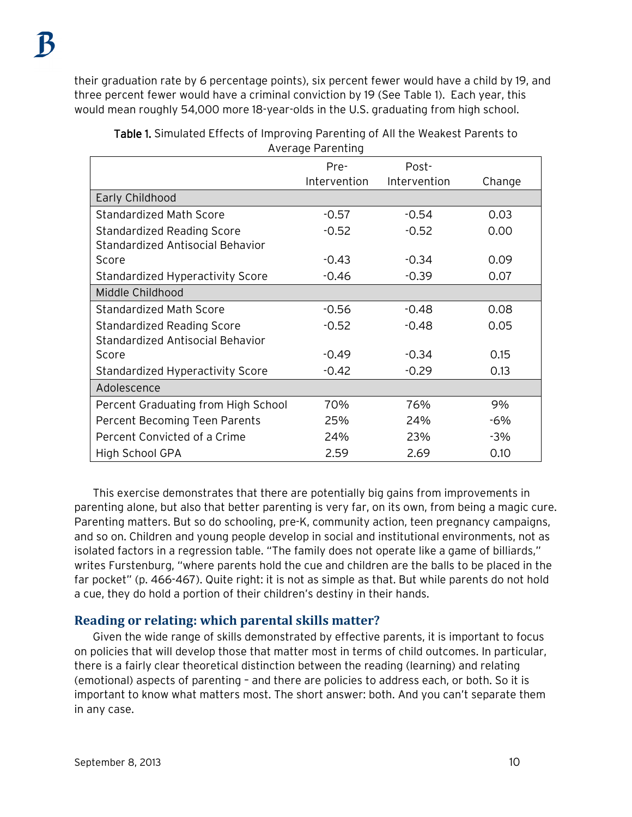their graduation rate by 6 percentage points), six percent fewer would have a child by 19, and three percent fewer would have a criminal conviction by 19 (See Table 1). Each year, this would mean roughly 54,000 more 18-year-olds in the U.S. graduating from high school.

|                                         | AVEIGUE LAIGHLING |              |        |
|-----------------------------------------|-------------------|--------------|--------|
|                                         | Pre-              | Post-        |        |
|                                         | Intervention      | Intervention | Change |
| Early Childhood                         |                   |              |        |
| Standardized Math Score                 | $-0.57$           | $-0.54$      | 0.03   |
| <b>Standardized Reading Score</b>       | $-0.52$           | $-0.52$      | 0.00   |
| <b>Standardized Antisocial Behavior</b> |                   |              |        |
| Score                                   | $-0.43$           | $-0.34$      | 0.09   |
| Standardized Hyperactivity Score        | $-0.46$           | $-0.39$      | 0.07   |
| Middle Childhood                        |                   |              |        |
| Standardized Math Score                 | $-0.56$           | $-0.48$      | 0.08   |
| <b>Standardized Reading Score</b>       | $-0.52$           | $-0.48$      | 0.05   |
| <b>Standardized Antisocial Behavior</b> |                   |              |        |
| Score                                   | $-0.49$           | $-0.34$      | 0.15   |
| Standardized Hyperactivity Score        | $-0.42$           | $-0.29$      | 0.13   |
| Adolescence                             |                   |              |        |
| Percent Graduating from High School     | 70%               | 76%          | 9%     |
| Percent Becoming Teen Parents           | 25%               | 24%          | $-6%$  |
| Percent Convicted of a Crime            | 24%               | 23%          | $-3%$  |
| High School GPA                         | 2.59              | 2.69         | 0.10   |

#### Table 1. Simulated Effects of Improving Parenting of All the Weakest Parents to Average Parenting

This exercise demonstrates that there are potentially big gains from improvements in parenting alone, but also that better parenting is very far, on its own, from being a magic cure. Parenting matters. But so do schooling, pre-K, community action, teen pregnancy campaigns, and so on. Children and young people develop in social and institutional environments, not as isolated factors in a regression table. "The family does not operate like a game of billiards," writes Furstenburg, "where parents hold the cue and children are the balls to be placed in the far pocket" (p. 466-467). Quite right: it is not as simple as that. But while parents do not hold a cue, they do hold a portion of their children's destiny in their hands.

### **Reading or relating: which parental skills matter?**

Given the wide range of skills demonstrated by effective parents, it is important to focus on policies that will develop those that matter most in terms of child outcomes. In particular, there is a fairly clear theoretical distinction between the reading (learning) and relating (emotional) aspects of parenting – and there are policies to address each, or both. So it is important to know what matters most. The short answer: both. And you can't separate them in any case.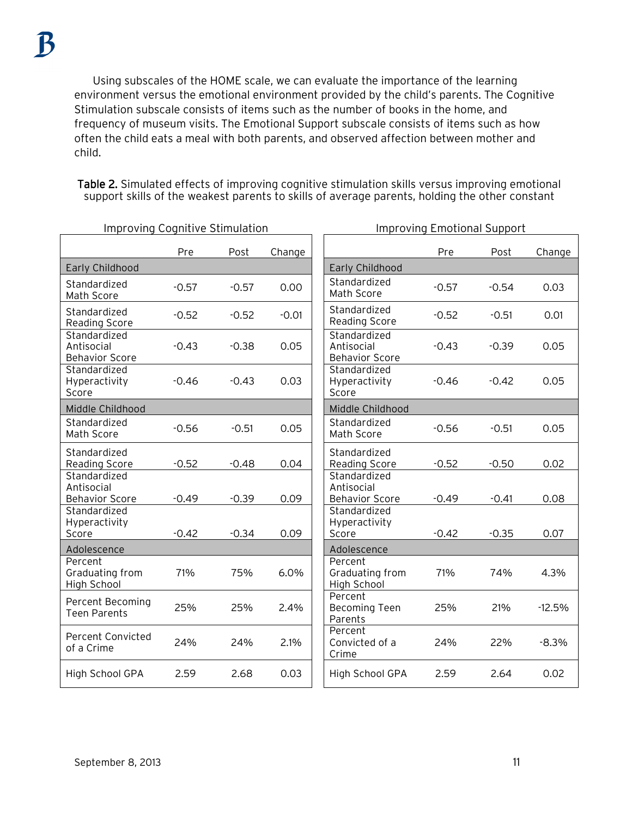Using subscales of the HOME scale, we can evaluate the importance of the learning environment versus the emotional environment provided by the child's parents. The Cognitive Stimulation subscale consists of items such as the number of books in the home, and frequency of museum visits. The Emotional Support subscale consists of items such as how often the child eats a meal with both parents, and observed affection between mother and child.

Table 2. Simulated effects of improving cognitive stimulation skills versus improving emotional support skills of the weakest parents to skills of average parents, holding the other constant

| <b>Improving Cognitive Stimulation</b>              |         |         | <b>Improving Emotional Support</b> |                                                     |         |         |          |
|-----------------------------------------------------|---------|---------|------------------------------------|-----------------------------------------------------|---------|---------|----------|
|                                                     | Pre     | Post    | Change                             |                                                     | Pre     | Post    | Change   |
| Early Childhood                                     |         |         |                                    | Early Childhood                                     |         |         |          |
| Standardized<br>Math Score                          | $-0.57$ | $-0.57$ | 0.00                               | Standardized<br>Math Score                          | $-0.57$ | $-0.54$ | 0.03     |
| Standardized<br>Reading Score                       | $-0.52$ | $-0.52$ | $-0.01$                            | Standardized<br>Reading Score                       | $-0.52$ | $-0.51$ | 0.01     |
| Standardized<br>Antisocial<br><b>Behavior Score</b> | $-0.43$ | $-0.38$ | 0.05                               | Standardized<br>Antisocial<br><b>Behavior Score</b> | $-0.43$ | $-0.39$ | 0.05     |
| Standardized<br>Hyperactivity<br>Score              | $-0.46$ | $-0.43$ | 0.03                               | Standardized<br>Hyperactivity<br>Score              | $-0.46$ | $-0.42$ | 0.05     |
| Middle Childhood                                    |         |         |                                    | Middle Childhood                                    |         |         |          |
| Standardized<br>Math Score                          | $-0.56$ | $-0.51$ | 0.05                               | Standardized<br>Math Score                          | $-0.56$ | $-0.51$ | 0.05     |
| Standardized<br>Reading Score                       | $-0.52$ | $-0.48$ | 0.04                               | Standardized<br><b>Reading Score</b>                | $-0.52$ | $-0.50$ | 0.02     |
| Standardized<br>Antisocial<br><b>Behavior Score</b> | $-0.49$ | $-0.39$ | 0.09                               | Standardized<br>Antisocial<br><b>Behavior Score</b> | $-0.49$ | $-0.41$ | 0.08     |
| Standardized<br>Hyperactivity<br>Score              | $-0.42$ | $-0.34$ | 0.09                               | Standardized<br>Hyperactivity<br>Score              | $-0.42$ | $-0.35$ | 0.07     |
| Adolescence                                         |         |         |                                    | Adolescence                                         |         |         |          |
| Percent<br>Graduating from<br>High School           | 71%     | 75%     | 6.0%                               | Percent<br>Graduating from<br>High School           | 71%     | 74%     | 4.3%     |
| Percent Becoming<br><b>Teen Parents</b>             | 25%     | 25%     | 2.4%                               | Percent<br><b>Becoming Teen</b><br>Parents          | 25%     | 21%     | $-12.5%$ |
| <b>Percent Convicted</b><br>of a Crime              | 24%     | 24%     | 2.1%                               | Percent<br>Convicted of a<br>Crime                  | 24%     | 22%     | $-8.3%$  |
| High School GPA                                     | 2.59    | 2.68    | 0.03                               | High School GPA                                     | 2.59    | 2.64    | 0.02     |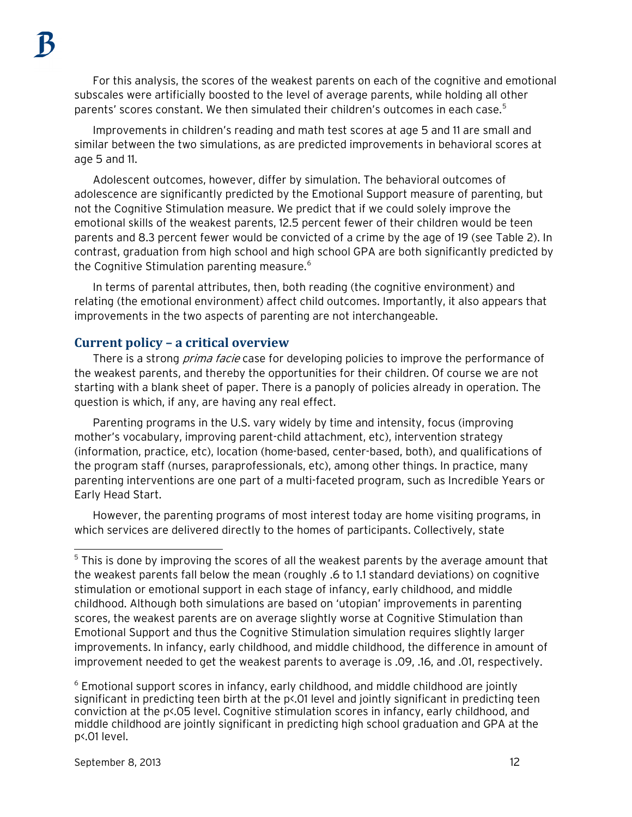For this analysis, the scores of the weakest parents on each of the cognitive and emotional subscales were artificially boosted to the level of average parents, while holding all other parents' scores constant. We then simulated their children's outcomes in each case.<sup>[5](#page-11-0)</sup>

Improvements in children's reading and math test scores at age 5 and 11 are small and similar between the two simulations, as are predicted improvements in behavioral scores at age 5 and 11.

Adolescent outcomes, however, differ by simulation. The behavioral outcomes of adolescence are significantly predicted by the Emotional Support measure of parenting, but not the Cognitive Stimulation measure. We predict that if we could solely improve the emotional skills of the weakest parents, 12.5 percent fewer of their children would be teen parents and 8.3 percent fewer would be convicted of a crime by the age of 19 (see Table 2). In contrast, graduation from high school and high school GPA are both significantly predicted by the Cognitive Stimulation parenting measure.<sup>[6](#page-11-1)</sup>

In terms of parental attributes, then, both reading (the cognitive environment) and relating (the emotional environment) affect child outcomes. Importantly, it also appears that improvements in the two aspects of parenting are not interchangeable.

#### **Current policy – a critical overview**

There is a strong *prima facie* case for developing policies to improve the performance of the weakest parents, and thereby the opportunities for their children. Of course we are not starting with a blank sheet of paper. There is a panoply of policies already in operation. The question is which, if any, are having any real effect.

Parenting programs in the U.S. vary widely by time and intensity, focus (improving mother's vocabulary, improving parent-child attachment, etc), intervention strategy (information, practice, etc), location (home-based, center-based, both), and qualifications of the program staff (nurses, paraprofessionals, etc), among other things. In practice, many parenting interventions are one part of a multi-faceted program, such as Incredible Years or Early Head Start.

However, the parenting programs of most interest today are home visiting programs, in which services are delivered directly to the homes of participants. Collectively, state

<span id="page-11-0"></span><sup>&</sup>lt;sup>5</sup> This is done by improving the scores of all the weakest parents by the average amount that the weakest parents fall below the mean (roughly .6 to 1.1 standard deviations) on cognitive stimulation or emotional support in each stage of infancy, early childhood, and middle childhood. Although both simulations are based on 'utopian' improvements in parenting scores, the weakest parents are on average slightly worse at Cognitive Stimulation than Emotional Support and thus the Cognitive Stimulation simulation requires slightly larger improvements. In infancy, early childhood, and middle childhood, the difference in amount of improvement needed to get the weakest parents to average is .09, .16, and .01, respectively.

<span id="page-11-1"></span> $6$  Emotional support scores in infancy, early childhood, and middle childhood are jointly significant in predicting teen birth at the p<.01 level and jointly significant in predicting teen conviction at the p<.05 level. Cognitive stimulation scores in infancy, early childhood, and middle childhood are jointly significant in predicting high school graduation and GPA at the p<.01 level.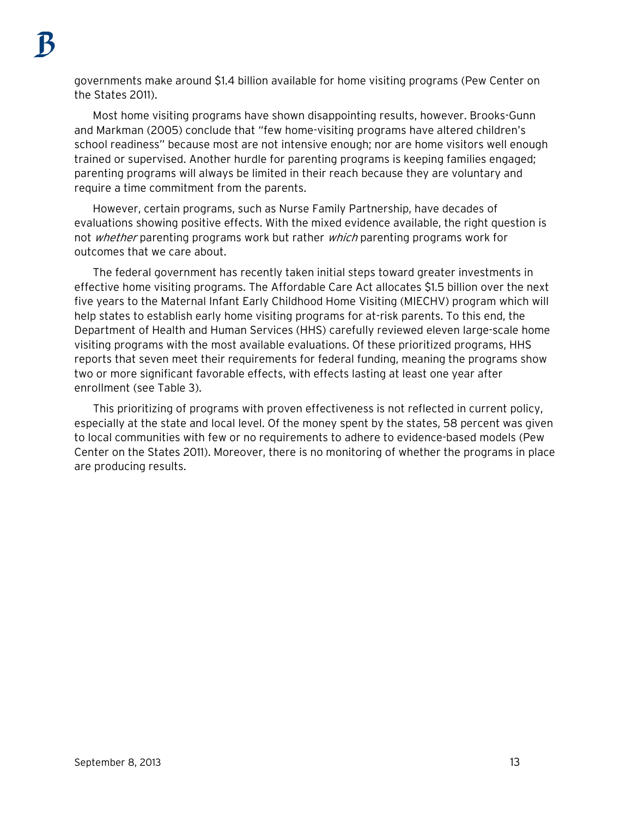governments make around \$1.4 billion available for home visiting programs (Pew Center on the States 2011).

Most home visiting programs have shown disappointing results, however. Brooks-Gunn and Markman (2005) conclude that "few home-visiting programs have altered children's school readiness" because most are not intensive enough; nor are home visitors well enough trained or supervised. Another hurdle for parenting programs is keeping families engaged; parenting programs will always be limited in their reach because they are voluntary and require a time commitment from the parents.

However, certain programs, such as Nurse Family Partnership, have decades of evaluations showing positive effects. With the mixed evidence available, the right question is not whether parenting programs work but rather which parenting programs work for outcomes that we care about.

The federal government has recently taken initial steps toward greater investments in effective home visiting programs. The Affordable Care Act allocates \$1.5 billion over the next five years to the Maternal Infant Early Childhood Home Visiting (MIECHV) program which will help states to establish early home visiting programs for at-risk parents. To this end, the Department of Health and Human Services (HHS) carefully reviewed eleven large-scale home visiting programs with the most available evaluations. Of these prioritized programs, HHS reports that seven meet their requirements for federal funding, meaning the programs show two or more significant favorable effects, with effects lasting at least one year after enrollment (see Table 3).

This prioritizing of programs with proven effectiveness is not reflected in current policy, especially at the state and local level. Of the money spent by the states, 58 percent was given to local communities with few or no requirements to adhere to evidence-based models (Pew Center on the States 2011). Moreover, there is no monitoring of whether the programs in place are producing results.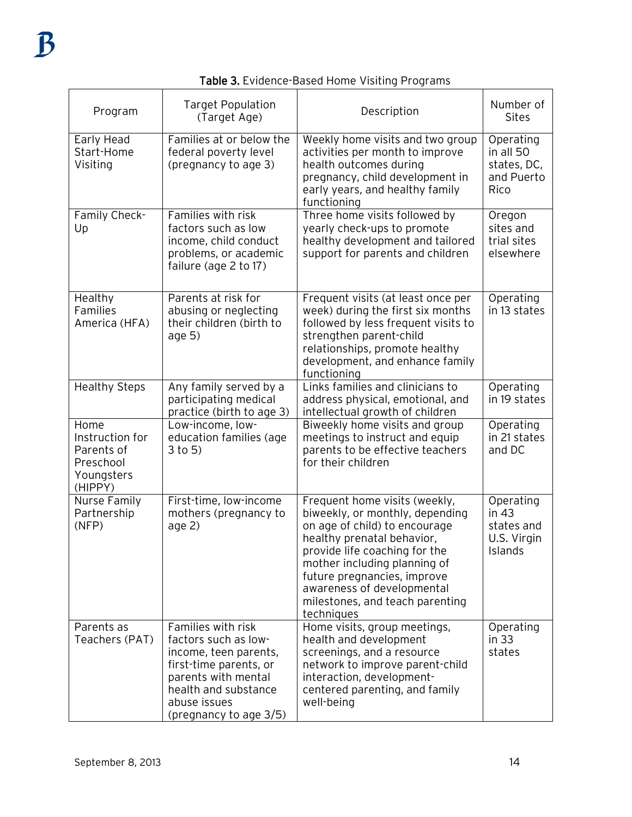| Program                                                                     | <b>Target Population</b><br>(Target Age)                                                                                                                                               | Description                                                                                                                                                                                                                                                                                                    | Number of<br><b>Sites</b>                                    |
|-----------------------------------------------------------------------------|----------------------------------------------------------------------------------------------------------------------------------------------------------------------------------------|----------------------------------------------------------------------------------------------------------------------------------------------------------------------------------------------------------------------------------------------------------------------------------------------------------------|--------------------------------------------------------------|
| Early Head<br>Start-Home<br>Visiting                                        | Families at or below the<br>federal poverty level<br>(pregnancy to age 3)                                                                                                              | Weekly home visits and two group<br>activities per month to improve<br>health outcomes during<br>pregnancy, child development in<br>early years, and healthy family<br>functioning                                                                                                                             | Operating<br>in all 50<br>states, DC,<br>and Puerto<br>Rico  |
| Family Check-<br>Up                                                         | Families with risk<br>factors such as low<br>income, child conduct<br>problems, or academic<br>failure (age 2 to 17)                                                                   | Three home visits followed by<br>yearly check-ups to promote<br>healthy development and tailored<br>support for parents and children                                                                                                                                                                           | Oregon<br>sites and<br>trial sites<br>elsewhere              |
| Healthy<br>Families<br>America (HFA)                                        | Parents at risk for<br>abusing or neglecting<br>their children (birth to<br>age $5)$                                                                                                   | Frequent visits (at least once per<br>week) during the first six months<br>followed by less frequent visits to<br>strengthen parent-child<br>relationships, promote healthy<br>development, and enhance family<br>functioning                                                                                  | Operating<br>in 13 states                                    |
| <b>Healthy Steps</b>                                                        | Any family served by a<br>participating medical<br>practice (birth to age 3)                                                                                                           | Links families and clinicians to<br>address physical, emotional, and<br>intellectual growth of children                                                                                                                                                                                                        | Operating<br>in 19 states                                    |
| Home<br>Instruction for<br>Parents of<br>Preschool<br>Youngsters<br>(HIPPY) | Low-income, low-<br>education families (age<br>$3$ to $5$ )                                                                                                                            | Biweekly home visits and group<br>meetings to instruct and equip<br>parents to be effective teachers<br>for their children                                                                                                                                                                                     | Operating<br>in 21 states<br>and DC                          |
| Nurse Family<br>Partnership<br>(NFP)                                        | First-time, low-income<br>mothers (pregnancy to<br>age $2)$                                                                                                                            | Frequent home visits (weekly,<br>biweekly, or monthly, depending<br>on age of child) to encourage<br>healthy prenatal behavior,<br>provide life coaching for the<br>mother including planning of<br>future pregnancies, improve<br>awareness of developmental<br>milestones, and teach parenting<br>techniques | Operating<br>in $43$<br>states and<br>U.S. Virgin<br>Islands |
| Parents as<br>Teachers (PAT)                                                | Families with risk<br>factors such as low-<br>income, teen parents,<br>first-time parents, or<br>parents with mental<br>health and substance<br>abuse issues<br>(pregnancy to age 3/5) | Home visits, group meetings,<br>health and development<br>screenings, and a resource<br>network to improve parent-child<br>interaction, development-<br>centered parenting, and family<br>well-being                                                                                                           | Operating<br>in $33$<br>states                               |

Table 3. Evidence-Based Home Visiting Programs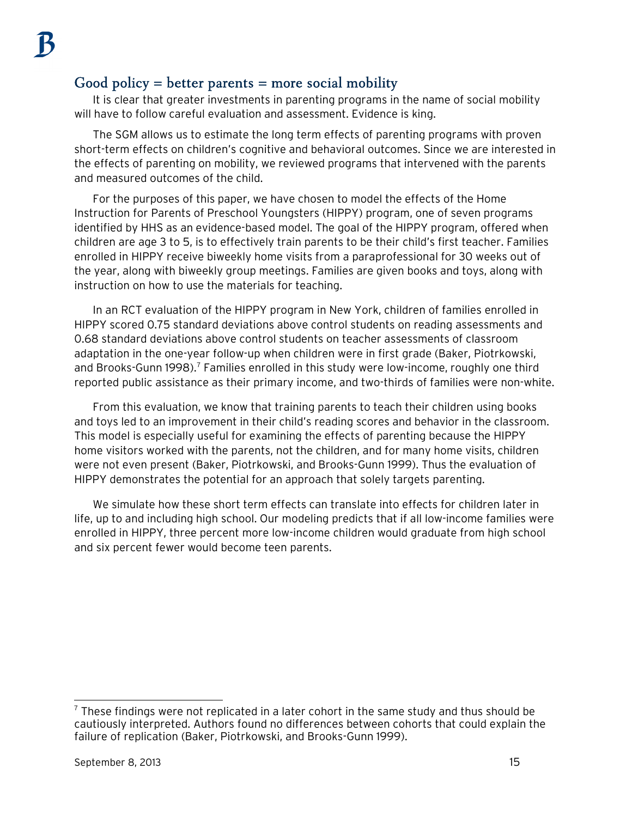### Good policy = better parents = more social mobility

It is clear that greater investments in parenting programs in the name of social mobility will have to follow careful evaluation and assessment. Evidence is king.

The SGM allows us to estimate the long term effects of parenting programs with proven short-term effects on children's cognitive and behavioral outcomes. Since we are interested in the effects of parenting on mobility, we reviewed programs that intervened with the parents and measured outcomes of the child.

For the purposes of this paper, we have chosen to model the effects of the Home Instruction for Parents of Preschool Youngsters (HIPPY) program, one of seven programs identified by HHS as an evidence-based model. The goal of the HIPPY program, offered when children are age 3 to 5, is to effectively train parents to be their child's first teacher. Families enrolled in HIPPY receive biweekly home visits from a paraprofessional for 30 weeks out of the year, along with biweekly group meetings. Families are given books and toys, along with instruction on how to use the materials for teaching.

In an RCT evaluation of the HIPPY program in New York, children of families enrolled in HIPPY scored 0.75 standard deviations above control students on reading assessments and 0.68 standard deviations above control students on teacher assessments of classroom adaptation in the one-year follow-up when children were in first grade (Baker, Piotrkowski, and Brooks-Gunn 1998).<sup>[7](#page-14-0)</sup> Families enrolled in this study were low-income, roughly one third reported public assistance as their primary income, and two-thirds of families were non-white.

From this evaluation, we know that training parents to teach their children using books and toys led to an improvement in their child's reading scores and behavior in the classroom. This model is especially useful for examining the effects of parenting because the HIPPY home visitors worked with the parents, not the children, and for many home visits, children were not even present (Baker, Piotrkowski, and Brooks-Gunn 1999). Thus the evaluation of HIPPY demonstrates the potential for an approach that solely targets parenting.

We simulate how these short term effects can translate into effects for children later in life, up to and including high school. Our modeling predicts that if all low-income families were enrolled in HIPPY, three percent more low-income children would graduate from high school and six percent fewer would become teen parents.

<span id="page-14-0"></span> $7$  These findings were not replicated in a later cohort in the same study and thus should be cautiously interpreted. Authors found no differences between cohorts that could explain the failure of replication (Baker, Piotrkowski, and Brooks-Gunn 1999).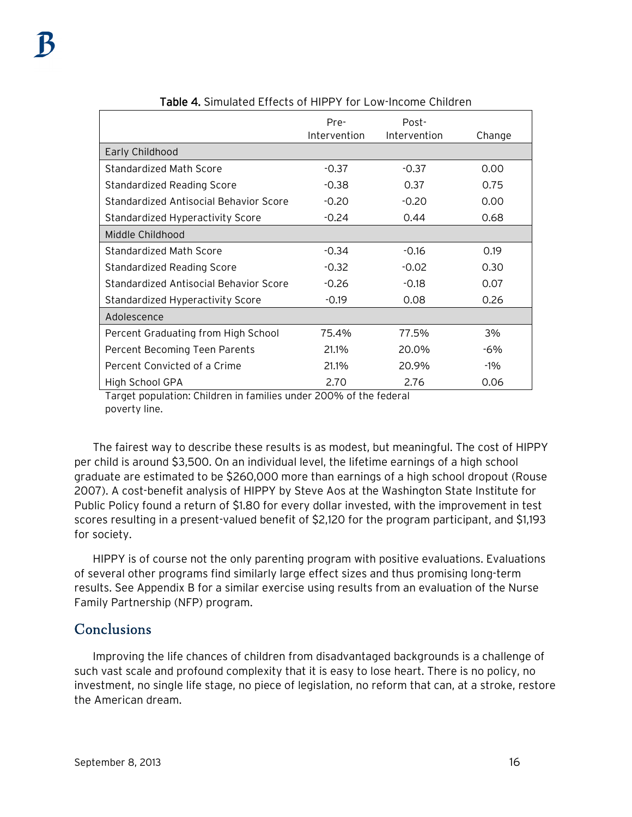|                                        | Pre-<br>Intervention | Post-<br>Intervention | Change |
|----------------------------------------|----------------------|-----------------------|--------|
| Early Childhood                        |                      |                       |        |
| Standardized Math Score                | $-0.37$              | $-0.37$               | 0.00   |
| Standardized Reading Score             | $-0.38$              | 0.37                  | 0.75   |
| Standardized Antisocial Behavior Score | $-0.20$              | $-0.20$               | 0.00   |
| Standardized Hyperactivity Score       | $-0.24$              | 0.44                  | 0.68   |
| Middle Childhood                       |                      |                       |        |
| Standardized Math Score                | $-0.34$              | $-0.16$               | 0.19   |
| Standardized Reading Score             | $-0.32$              | $-0.02$               | 0.30   |
| Standardized Antisocial Behavior Score | $-0.26$              | $-0.18$               | 0.07   |
| Standardized Hyperactivity Score       | $-0.19$              | 0.08                  | 0.26   |
| Adolescence                            |                      |                       |        |
| Percent Graduating from High School    | 75.4%                | 77.5%                 | 3%     |
| Percent Becoming Teen Parents          | 21.1%                | 20.0%                 | -6%    |
| Percent Convicted of a Crime           | 21.1%                | 20.9%                 | $-1\%$ |
| High School GPA                        | 2.70                 | 2.76                  | 0.06   |

Table 4. Simulated Effects of HIPPY for Low-Income Children

Target population: Children in families under 200% of the federal poverty line.

The fairest way to describe these results is as modest, but meaningful. The cost of HIPPY per child is around \$3,500. On an individual level, the lifetime earnings of a high school graduate are estimated to be \$260,000 more than earnings of a high school dropout (Rouse 2007). A cost-benefit analysis of HIPPY by Steve Aos at the Washington State Institute for Public Policy found a return of \$1.80 for every dollar invested, with the improvement in test scores resulting in a present-valued benefit of \$2,120 for the program participant, and \$1,193 for society.

HIPPY is of course not the only parenting program with positive evaluations. Evaluations of several other programs find similarly large effect sizes and thus promising long-term results. See Appendix B for a similar exercise using results from an evaluation of the Nurse Family Partnership (NFP) program.

### **Conclusions**

Improving the life chances of children from disadvantaged backgrounds is a challenge of such vast scale and profound complexity that it is easy to lose heart. There is no policy, no investment, no single life stage, no piece of legislation, no reform that can, at a stroke, restore the American dream.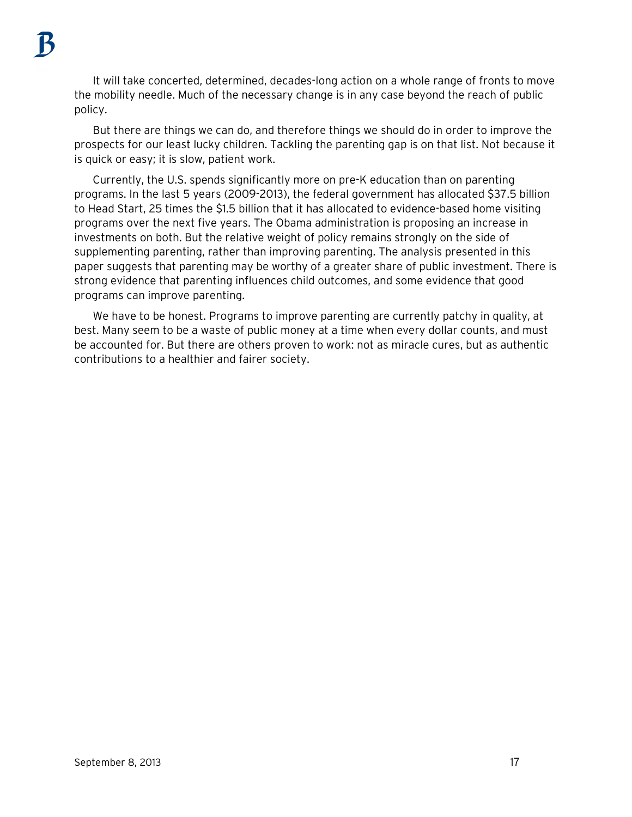It will take concerted, determined, decades-long action on a whole range of fronts to move the mobility needle. Much of the necessary change is in any case beyond the reach of public policy.

But there are things we can do, and therefore things we should do in order to improve the prospects for our least lucky children. Tackling the parenting gap is on that list. Not because it is quick or easy; it is slow, patient work.

Currently, the U.S. spends significantly more on pre-K education than on parenting programs. In the last 5 years (2009-2013), the federal government has allocated \$37.5 billion to Head Start, 25 times the \$1.5 billion that it has allocated to evidence-based home visiting programs over the next five years. The Obama administration is proposing an increase in investments on both. But the relative weight of policy remains strongly on the side of supplementing parenting, rather than improving parenting. The analysis presented in this paper suggests that parenting may be worthy of a greater share of public investment. There is strong evidence that parenting influences child outcomes, and some evidence that good programs can improve parenting.

We have to be honest. Programs to improve parenting are currently patchy in quality, at best. Many seem to be a waste of public money at a time when every dollar counts, and must be accounted for. But there are others proven to work: not as miracle cures, but as authentic contributions to a healthier and fairer society.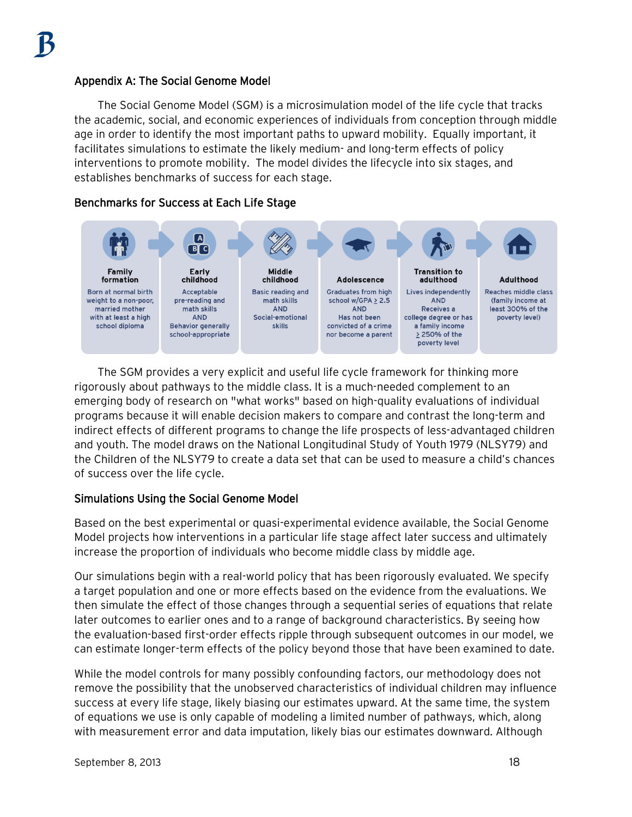### Appendix A: The Social Genome Model

The Social Genome Model (SGM) is a microsimulation model of the life cycle that tracks the academic, social, and economic experiences of individuals from conception through middle age in order to identify the most important paths to upward mobility. Equally important, it facilitates simulations to estimate the likely medium- and long-term effects of policy interventions to promote mobility. The model divides the lifecycle into six stages, and establishes benchmarks of success for each stage.

#### Benchmarks for Success at Each Life Stage



The SGM provides a very explicit and useful life cycle framework for thinking more rigorously about pathways to the middle class. It is a much-needed complement to an emerging body of research on "what works" based on high-quality evaluations of individual programs because it will enable decision makers to compare and contrast the long-term and indirect effects of different programs to change the life prospects of less-advantaged children and youth. The model draws on the National Longitudinal Study of Youth 1979 (NLSY79) and the Children of the NLSY79 to create a data set that can be used to measure a child's chances of success over the life cycle.

### Simulations Using the Social Genome Model

Based on the best experimental or quasi-experimental evidence available, the Social Genome Model projects how interventions in a particular life stage affect later success and ultimately increase the proportion of individuals who become middle class by middle age.

Our simulations begin with a real-world policy that has been rigorously evaluated. We specify a target population and one or more effects based on the evidence from the evaluations. We then simulate the effect of those changes through a sequential series of equations that relate later outcomes to earlier ones and to a range of background characteristics. By seeing how the evaluation-based first-order effects ripple through subsequent outcomes in our model, we can estimate longer-term effects of the policy beyond those that have been examined to date.

While the model controls for many possibly confounding factors, our methodology does not remove the possibility that the unobserved characteristics of individual children may influence success at every life stage, likely biasing our estimates upward. At the same time, the system of equations we use is only capable of modeling a limited number of pathways, which, along with measurement error and data imputation, likely bias our estimates downward. Although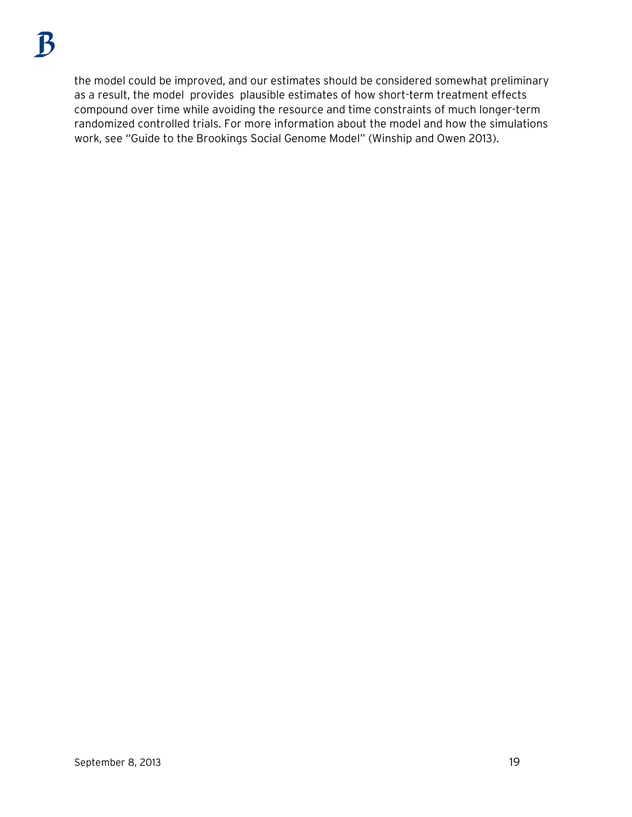the model could be improved, and our estimates should be considered somewhat preliminary as a result, the model provides plausible estimates of how short-term treatment effects compound over time while avoiding the resource and time constraints of much longer-term randomized controlled trials. For more information about the model and how the simulations work, see "Guide to the Brookings Social Genome Model" (Winship and Owen 2013).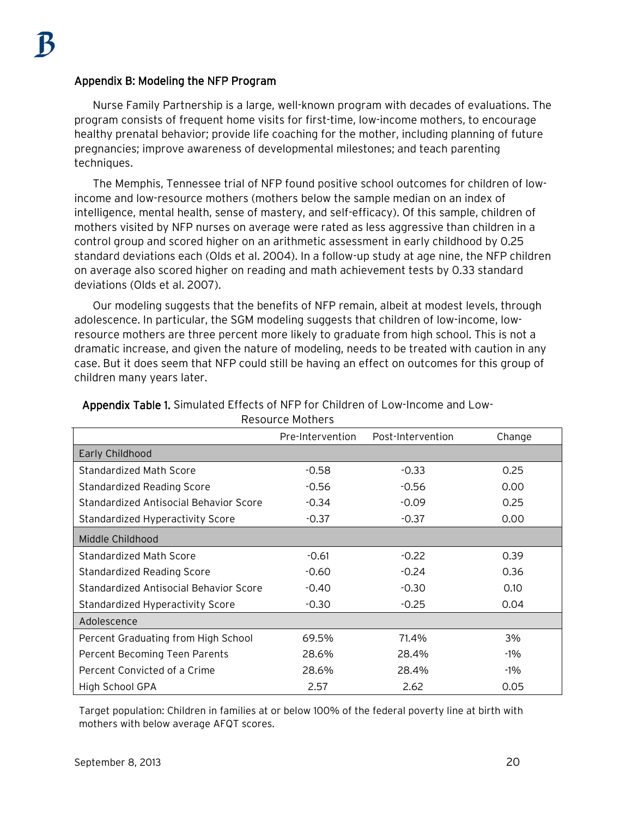#### Appendix B: Modeling the NFP Program

Nurse Family Partnership is a large, well-known program with decades of evaluations. The program consists of frequent home visits for first-time, low-income mothers, to encourage healthy prenatal behavior; provide life coaching for the mother, including planning of future pregnancies; improve awareness of developmental milestones; and teach parenting techniques.

The Memphis, Tennessee trial of NFP found positive school outcomes for children of lowincome and low-resource mothers (mothers below the sample median on an index of intelligence, mental health, sense of mastery, and self-efficacy). Of this sample, children of mothers visited by NFP nurses on average were rated as less aggressive than children in a control group and scored higher on an arithmetic assessment in early childhood by 0.25 standard deviations each (Olds et al. 2004). In a follow-up study at age nine, the NFP children on average also scored higher on reading and math achievement tests by 0.33 standard deviations (Olds et al. 2007).

Our modeling suggests that the benefits of NFP remain, albeit at modest levels, through adolescence. In particular, the SGM modeling suggests that children of low-income, lowresource mothers are three percent more likely to graduate from high school. This is not a dramatic increase, and given the nature of modeling, needs to be treated with caution in any case. But it does seem that NFP could still be having an effect on outcomes for this group of children many years later.

|                                        | Pre-Intervention | Post-Intervention | Change |  |  |
|----------------------------------------|------------------|-------------------|--------|--|--|
| Early Childhood                        |                  |                   |        |  |  |
| <b>Standardized Math Score</b>         | $-0.58$          | $-0.33$           | 0.25   |  |  |
| <b>Standardized Reading Score</b>      | $-0.56$          | $-0.56$           | 0.00   |  |  |
| Standardized Antisocial Behavior Score | $-0.34$          | $-0.09$           | 0.25   |  |  |
| Standardized Hyperactivity Score       | $-0.37$          | $-0.37$           | 0.00   |  |  |
| Middle Childhood                       |                  |                   |        |  |  |
| Standardized Math Score                | $-0.61$          | $-0.22$           | 0.39   |  |  |
| Standardized Reading Score             | $-0.60$          | $-0.24$           | 0.36   |  |  |
| Standardized Antisocial Behavior Score | $-0.40$          | $-0.30$           | 0.10   |  |  |
| Standardized Hyperactivity Score       | $-0.30$          | $-0.25$           | 0.04   |  |  |
| Adolescence                            |                  |                   |        |  |  |
| Percent Graduating from High School    | 69.5%            | 71.4%             | 3%     |  |  |
| Percent Becoming Teen Parents          | 28.6%            | 28.4%             | $-1\%$ |  |  |
| Percent Convicted of a Crime           | 28.6%            | 28.4%             | $-1\%$ |  |  |
| High School GPA                        | 2.57             | 2.62              | 0.05   |  |  |

#### Appendix Table 1. Simulated Effects of NFP for Children of Low-Income and Low-Resource Mothers

Target population: Children in families at or below 100% of the federal poverty line at birth with mothers with below average AFQT scores.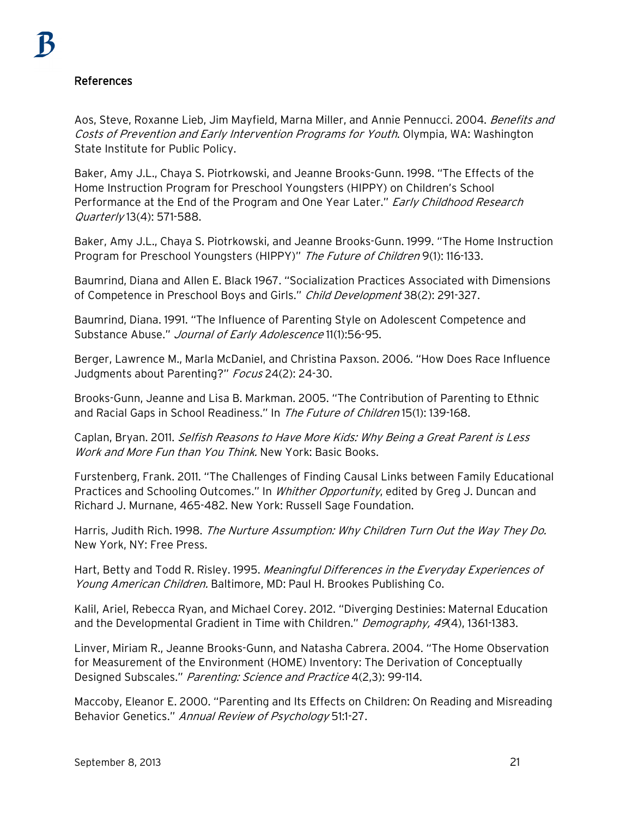### References

Aos, Steve, Roxanne Lieb, Jim Mayfield, Marna Miller, and Annie Pennucci. 2004. Benefits and Costs of Prevention and Early Intervention Programs for Youth. Olympia, WA: Washington State Institute for Public Policy.

Baker, Amy J.L., Chaya S. Piotrkowski, and Jeanne Brooks-Gunn. 1998. "The Effects of the Home Instruction Program for Preschool Youngsters (HIPPY) on Children's School Performance at the End of the Program and One Year Later." Early Childhood Research Quarterly 13(4): 571-588.

Baker, Amy J.L., Chaya S. Piotrkowski, and Jeanne Brooks-Gunn. 1999. "The Home Instruction Program for Preschool Youngsters (HIPPY)" The Future of Children 9(1): 116-133.

Baumrind, Diana and Allen E. Black 1967. "Socialization Practices Associated with Dimensions of Competence in Preschool Boys and Girls." Child Development 38(2): 291-327.

Baumrind, Diana. 1991. "The Influence of Parenting Style on Adolescent Competence and Substance Abuse." Journal of Early Adolescence 11(1):56-95.

Berger, Lawrence M., Marla McDaniel, and Christina Paxson. 2006. "How Does Race Influence Judgments about Parenting?" Focus 24(2): 24-30.

Brooks-Gunn, Jeanne and Lisa B. Markman. 2005. "The Contribution of Parenting to Ethnic and Racial Gaps in School Readiness." In The Future of Children 15(1): 139-168.

Caplan, Bryan. 2011. Selfish Reasons to Have More Kids: Why Being a Great Parent is Less Work and More Fun than You Think. New York: Basic Books.

Furstenberg, Frank. 2011. "The Challenges of Finding Causal Links between Family Educational Practices and Schooling Outcomes." In Whither Opportunity, edited by Greg J. Duncan and Richard J. Murnane, 465-482. New York: Russell Sage Foundation.

Harris, Judith Rich. 1998. The Nurture Assumption: Why Children Turn Out the Way They Do. New York, NY: Free Press.

Hart, Betty and Todd R. Risley. 1995. Meaningful Differences in the Everyday Experiences of Young American Children. Baltimore, MD: Paul H. Brookes Publishing Co.

Kalil, Ariel, Rebecca Ryan, and Michael Corey. 2012. "Diverging Destinies: Maternal Education and the Developmental Gradient in Time with Children." Demography, 49(4), 1361-1383.

Linver, Miriam R., Jeanne Brooks-Gunn, and Natasha Cabrera. 2004. "The Home Observation for Measurement of the Environment (HOME) Inventory: The Derivation of Conceptually Designed Subscales." Parenting: Science and Practice 4(2,3): 99-114.

Maccoby, Eleanor E. 2000. "Parenting and Its Effects on Children: On Reading and Misreading Behavior Genetics." Annual Review of Psychology 51:1-27.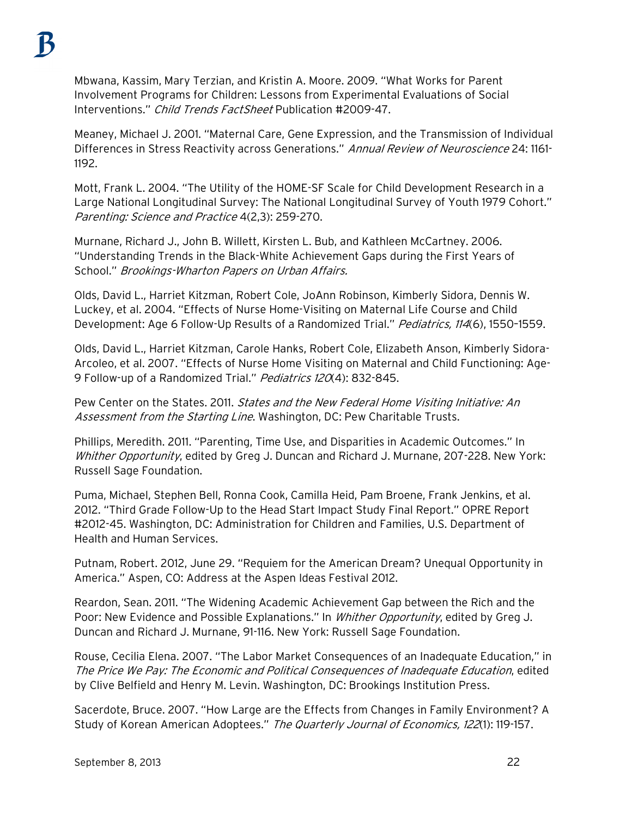Mbwana, Kassim, Mary Terzian, and Kristin A. Moore. 2009. "What Works for Parent Involvement Programs for Children: Lessons from Experimental Evaluations of Social Interventions." Child Trends FactSheet Publication #2009-47.

Meaney, Michael J. 2001. "Maternal Care, Gene Expression, and the Transmission of Individual Differences in Stress Reactivity across Generations." Annual Review of Neuroscience 24: 1161-1192.

Mott, Frank L. 2004. "The Utility of the HOME-SF Scale for Child Development Research in a Large National Longitudinal Survey: The National Longitudinal Survey of Youth 1979 Cohort." Parenting: Science and Practice 4(2,3): 259-270.

Murnane, Richard J., John B. Willett, Kirsten L. Bub, and Kathleen McCartney. 2006. "Understanding Trends in the Black-White Achievement Gaps during the First Years of School." Brookings-Wharton Papers on Urban Affairs.

Olds, David L., Harriet Kitzman, Robert Cole, JoAnn Robinson, Kimberly Sidora, Dennis W. Luckey, et al. 2004. "Effects of Nurse Home-Visiting on Maternal Life Course and Child Development: Age 6 Follow-Up Results of a Randomized Trial." Pediatrics, 114(6), 1550-1559.

Olds, David L., Harriet Kitzman, Carole Hanks, Robert Cole, Elizabeth Anson, Kimberly Sidora-Arcoleo, et al. 2007. "Effects of Nurse Home Visiting on Maternal and Child Functioning: Age-9 Follow-up of a Randomized Trial." Pediatrics 120(4): 832-845.

Pew Center on the States. 2011. States and the New Federal Home Visiting Initiative: An Assessment from the Starting Line. Washington, DC: Pew Charitable Trusts.

Phillips, Meredith. 2011. "Parenting, Time Use, and Disparities in Academic Outcomes." In Whither Opportunity, edited by Greg J. Duncan and Richard J. Murnane, 207-228. New York: Russell Sage Foundation.

Puma, Michael, Stephen Bell, Ronna Cook, Camilla Heid, Pam Broene, Frank Jenkins, et al. 2012. "Third Grade Follow-Up to the Head Start Impact Study Final Report." OPRE Report #2012-45. Washington, DC: Administration for Children and Families, U.S. Department of Health and Human Services.

Putnam, Robert. 2012, June 29. "Requiem for the American Dream? Unequal Opportunity in America." Aspen, CO: Address at the Aspen Ideas Festival 2012.

Reardon, Sean. 2011. "The Widening Academic Achievement Gap between the Rich and the Poor: New Evidence and Possible Explanations." In *Whither Opportunity*, edited by Greg J. Duncan and Richard J. Murnane, 91-116. New York: Russell Sage Foundation.

Rouse, Cecilia Elena. 2007. "The Labor Market Consequences of an Inadequate Education," in The Price We Pay: The Economic and Political Consequences of Inadequate Education, edited by Clive Belfield and Henry M. Levin. Washington, DC: Brookings Institution Press.

Sacerdote, Bruce. 2007. "How Large are the Effects from Changes in Family Environment? A Study of Korean American Adoptees." The Quarterly Journal of Economics, 122(1): 119-157.